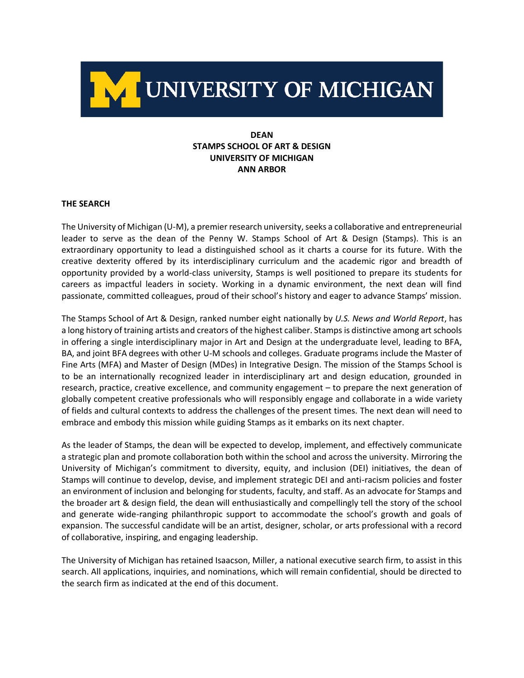

# **DEAN STAMPS SCHOOL OF ART & DESIGN UNIVERSITY OF MICHIGAN ANN ARBOR**

#### **THE SEARCH**

The University of Michigan (U-M), a premier research university, seeks a collaborative and entrepreneurial leader to serve as the dean of the Penny W. Stamps School of Art & Design (Stamps). This is an extraordinary opportunity to lead a distinguished school as it charts a course for its future. With the creative dexterity offered by its interdisciplinary curriculum and the academic rigor and breadth of opportunity provided by a world-class university, Stamps is well positioned to prepare its students for careers as impactful leaders in society. Working in a dynamic environment, the next dean will find passionate, committed colleagues, proud of their school's history and eager to advance Stamps' mission.

The Stamps School of Art & Design, ranked number eight nationally by *U.S. News and World Report*, has a long history of training artists and creators of the highest caliber. Stamps is distinctive among art schools in offering a single interdisciplinary major in Art and Design at the undergraduate level, leading to BFA, BA, and joint BFA degrees with other U-M schools and colleges. Graduate programs include the Master of Fine Arts (MFA) and Master of Design (MDes) in Integrative Design. The mission of the Stamps School is to be an internationally recognized leader in interdisciplinary art and design education, grounded in research, practice, creative excellence, and community engagement – to prepare the next generation of globally competent creative professionals who will responsibly engage and collaborate in a wide variety of fields and cultural contexts to address the challenges of the present times. The next dean will need to embrace and embody this mission while guiding Stamps as it embarks on its next chapter.

As the leader of Stamps, the dean will be expected to develop, implement, and effectively communicate a strategic plan and promote collaboration both within the school and across the university. Mirroring the University of Michigan's commitment to diversity, equity, and inclusion (DEI) initiatives, the dean of Stamps will continue to develop, devise, and implement strategic DEI and anti-racism policies and foster an environment of inclusion and belonging for students, faculty, and staff. As an advocate for Stamps and the broader art & design field, the dean will enthusiastically and compellingly tell the story of the school and generate wide-ranging philanthropic support to accommodate the school's growth and goals of expansion. The successful candidate will be an artist, designer, scholar, or arts professional with a record of collaborative, inspiring, and engaging leadership.

The University of Michigan has retained Isaacson, Miller, a national executive search firm, to assist in this search. All applications, inquiries, and nominations, which will remain confidential, should be directed to the search firm as indicated at the end of this document.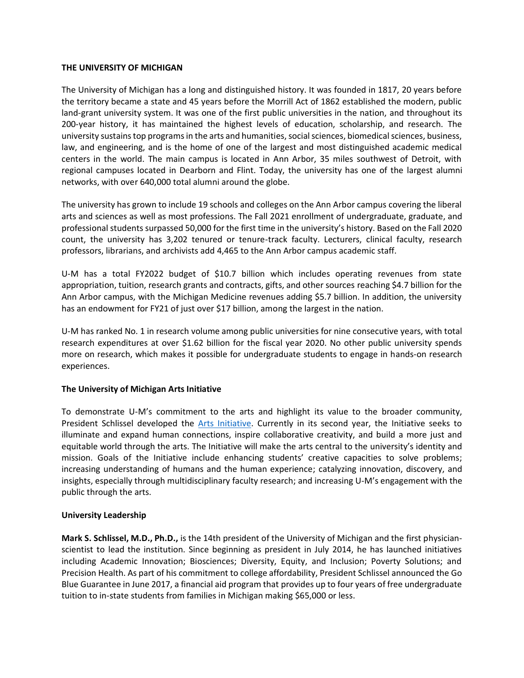#### **THE UNIVERSITY OF MICHIGAN**

The University of Michigan has a long and distinguished history. It was founded in 1817, 20 years before the territory became a state and 45 years before the Morrill Act of 1862 established the modern, public land-grant university system. It was one of the first public universities in the nation, and throughout its 200-year history, it has maintained the highest levels of education, scholarship, and research. The university sustains top programs in the arts and humanities, social sciences, biomedical sciences, business, law, and engineering, and is the home of one of the largest and most distinguished academic medical centers in the world. The main campus is located in Ann Arbor, 35 miles southwest of Detroit, with regional campuses located in Dearborn and Flint. Today, the university has one of the largest alumni networks, with over 640,000 total alumni around the globe.

The university has grown to include 19 schools and colleges on the Ann Arbor campus covering the liberal arts and sciences as well as most professions. The Fall 2021 enrollment of undergraduate, graduate, and professional students surpassed 50,000 for the first time in the university's history. Based on the Fall 2020 count, the university has 3,202 tenured or tenure-track faculty. Lecturers, clinical faculty, research professors, librarians, and archivists add 4,465 to the Ann Arbor campus academic staff.

U-M has a total FY2022 budget of \$10.7 billion which includes operating revenues from state appropriation, tuition, research grants and contracts, gifts, and other sources reaching \$4.7 billion for the Ann Arbor campus, with the Michigan Medicine revenues adding \$5.7 billion. In addition, the university has an endowment for FY21 of just over \$17 billion, among the largest in the nation.

U-M has ranked No. 1 in research volume among public universities for nine consecutive years, with total research expenditures at over \$1.62 billion for the fiscal year 2020. No other public university spends more on research, which makes it possible for undergraduate students to engage in hands-on research experiences.

## **The University of Michigan Arts Initiative**

To demonstrate U-M's commitment to the arts and highlight its value to the broader community, President Schlissel developed the [Arts Initiative.](https://artsinitiative.umich.edu/) Currently in its second year, the Initiative seeks to illuminate and expand human connections, inspire collaborative creativity, and build a more just and equitable world through the arts. The Initiative will make the arts central to the university's identity and mission. Goals of the Initiative include enhancing students' creative capacities to solve problems; increasing understanding of humans and the human experience; catalyzing innovation, discovery, and insights, especially through multidisciplinary faculty research; and increasing U-M's engagement with the public through the arts.

## **University Leadership**

**Mark S. Schlissel, M.D., Ph.D.,** is the 14th president of the University of Michigan and the first physicianscientist to lead the institution. Since beginning as president in July 2014, he has launched initiatives including Academic Innovation; Biosciences; Diversity, Equity, and Inclusion; Poverty Solutions; and Precision Health. As part of his commitment to college affordability, President Schlissel announced the Go Blue Guarantee in June 2017, a financial aid program that provides up to four years of free undergraduate tuition to in-state students from families in Michigan making \$65,000 or less.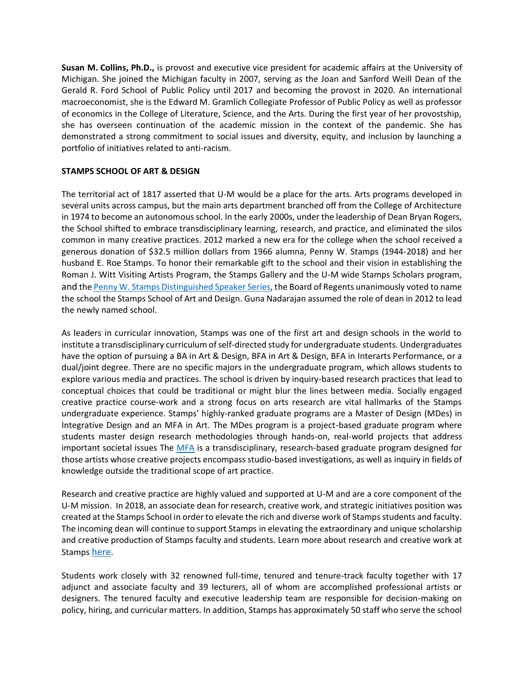**Susan M. Collins, Ph.D.,** is provost and executive vice president for academic affairs at the University of Michigan. She joined the Michigan faculty in 2007, serving as the Joan and Sanford Weill Dean of the Gerald R. Ford School of Public Policy until 2017 and becoming the provost in 2020. An international macroeconomist, she is the Edward M. Gramlich Collegiate Professor of Public Policy as well as professor of economics in the College of Literature, Science, and the Arts. During the first year of her provostship, she has overseen continuation of the academic mission in the context of the pandemic. She has demonstrated a strong commitment to social issues and diversity, equity, and inclusion by launching a portfolio of initiatives related to anti-racism.

## **STAMPS SCHOOL OF ART & DESIGN**

The territorial act of 1817 asserted that U-M would be a place for the arts. Arts programs developed in several units across campus, but the main arts department branched off from the College of Architecture in 1974 to become an autonomous school. In the early 2000s, under the leadership of Dean Bryan Rogers, the School shifted to embrace transdisciplinary learning, research, and practice, and eliminated the silos common in many creative practices. 2012 marked a new era for the college when the school received a generous donation of \$32.5 million dollars from 1966 alumna, Penny W. Stamps (1944-2018) and her husband E. Roe Stamps. To honor their remarkable gift to the school and their vision in establishing the Roman J. Witt Visiting Artists Program, the Stamps Gallery and the U-M wide Stamps Scholars program, and th[e Penny W. Stamps Distinguished Speaker Series,](https://stamps.umich.edu/penny-stamps-speaker-series) the Board of Regents unanimously voted to name the school the Stamps School of Art and Design. Guna Nadarajan assumed the role of dean in 2012 to lead the newly named school.

As leaders in curricular innovation, Stamps was one of the first art and design schools in the world to institute a transdisciplinary curriculum of self-directed study for undergraduate students. Undergraduates have the option of pursuing a BA in Art & Design, BFA in Art & Design, BFA in Interarts Performance, or a dual/joint degree. There are no specific majors in the undergraduate program, which allows students to explore various media and practices. The school is driven by inquiry-based research practices that lead to conceptual choices that could be traditional or might blur the lines between media. Socially engaged creative practice course-work and a strong focus on arts research are vital hallmarks of the Stamps undergraduate experience. Stamps' highly-ranked graduate programs are a Master of Design [\(MDes\) in](https://stamps.umich.edu/graduate-programs/mdes)  [Integrative Design](https://stamps.umich.edu/graduate-programs/mdes) and an MFA in Art. The MDes program is a project-based graduate program where students master design research methodologies through hands-on, real-world projects that address important societal issues The [MFA](https://stamps.umich.edu/graduate-programs/mfa) is a transdisciplinary, research-based graduate program designed for those artists whose creative projects encompass studio-based investigations, as well as inquiry in fields of knowledge outside the traditional scope of art practice.

Research and creative practice are highly valued and supported at U-M and are a core component of the U-M mission. In 2018, an associate dean for research, creative work, and strategic initiatives position was created at the Stamps School in order to elevate the rich and diverse work of Stamps students and faculty. The incoming dean will continue to support Stamps in elevating the extraordinary and unique scholarship and creative production of Stamps faculty and students. Learn more about research and creative work at Stamps [here](https://stamps.umich.edu/research-creative-work).

Students work closely with 32 renowned full-time, tenured and tenure-track faculty together with 17 adjunct and associate faculty and 39 lecturers, all of whom are accomplished professional artists or designers. The tenured faculty and executive leadership team are responsible for decision-making on policy, hiring, and curricular matters. In addition, Stamps has approximately 50 staff who serve the school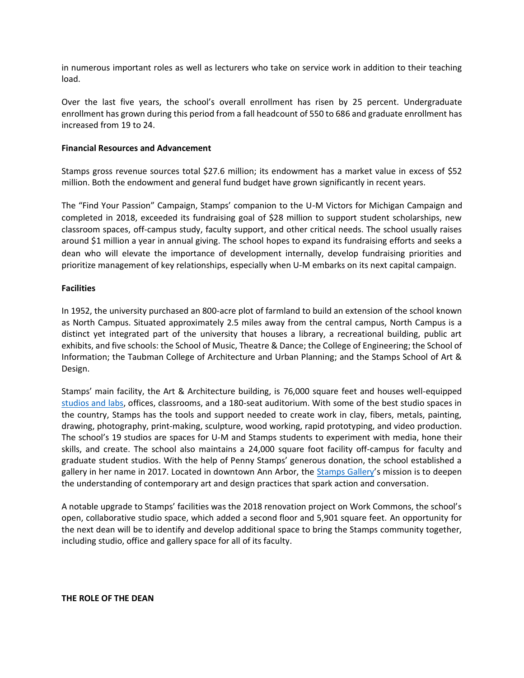in numerous important roles as well as lecturers who take on service work in addition to their teaching load.

Over the last five years, the school's overall enrollment has risen by 25 percent. Undergraduate enrollment has grown during this period from a fall headcount of 550 to 686 and graduate enrollment has increased from 19 to 24.

#### **Financial Resources and Advancement**

Stamps gross revenue sources total \$27.6 million; its endowment has a market value in excess of \$52 million. Both the endowment and general fund budget have grown significantly in recent years.

The "Find Your Passion" Campaign, Stamps' companion to the U‑M Victors for Michigan Campaign and completed in 2018, exceeded its fundraising goal of \$28 million to support student scholarships, new classroom spaces, off-campus study, faculty support, and other critical needs. The school usually raises around \$1 million a year in annual giving. The school hopes to expand its fundraising efforts and seeks a dean who will elevate the importance of development internally, develop fundraising priorities and prioritize management of key relationships, especially when U-M embarks on its next capital campaign.

#### **Facilities**

In 1952, the university purchased an 800-acre plot of farmland to build an extension of the school known as North Campus. Situated approximately 2.5 miles away from the central campus, North Campus is a distinct yet integrated part of the university that houses a library, a recreational building, public art exhibits, and five schools: the School of Music, Theatre & Dance; the College of Engineering; the School of Information; the Taubman College of Architecture and Urban Planning; and the Stamps School of Art & Design.

Stamps' main facility, the Art & Architecture building, is 76,000 square feet and houses well-equipped [studios and labs,](https://stamps.umich.edu/life-at-stamps/studios) offices, classrooms, and a 180-seat auditorium. With some of the best studio spaces in the country, Stamps has the tools and support needed to create work in clay, fibers, metals, painting, drawing, photography, print-making, sculpture, wood working, rapid prototyping, and video production. The school's 19 studios are spaces for U-M and Stamps students to experiment with media, hone their skills, and create. The school also maintains a 24,000 square foot facility off-campus for faculty and graduate student studios. With the help of Penny Stamps' generous donation, the school established a gallery in her name in 2017. Located in downtown Ann Arbor, the [Stamps Gallery](https://stamps.umich.edu/stamps-gallery/about-the-gallery)'s mission is to deepen the understanding of contemporary art and design practices that spark action and conversation.

A notable upgrade to Stamps' facilities was the 2018 renovation project on Work Commons, the school's open, collaborative studio space, which added a second floor and 5,901 square feet. An opportunity for the next dean will be to identify and develop additional space to bring the Stamps community together, including studio, office and gallery space for all of its faculty.

#### **THE ROLE OF THE DEAN**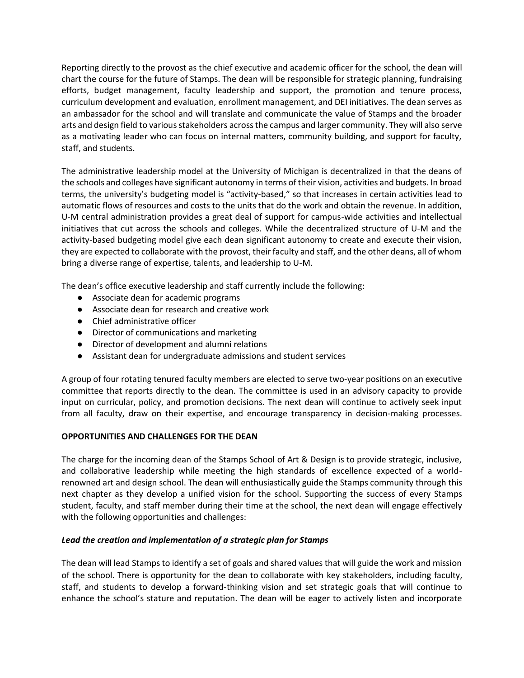Reporting directly to the provost as the chief executive and academic officer for the school, the dean will chart the course for the future of Stamps. The dean will be responsible for strategic planning, fundraising efforts, budget management, faculty leadership and support, the promotion and tenure process, curriculum development and evaluation, enrollment management, and DEI initiatives. The dean serves as an ambassador for the school and will translate and communicate the value of Stamps and the broader arts and design field to various stakeholders across the campus and larger community. They will also serve as a motivating leader who can focus on internal matters, community building, and support for faculty, staff, and students.

The administrative leadership model at the University of Michigan is decentralized in that the deans of the schools and colleges have significant autonomy in terms of their vision, activities and budgets. In broad terms, the university's budgeting model is "activity-based," so that increases in certain activities lead to automatic flows of resources and costs to the units that do the work and obtain the revenue. In addition, U-M central administration provides a great deal of support for campus-wide activities and intellectual initiatives that cut across the schools and colleges. While the decentralized structure of U-M and the activity-based budgeting model give each dean significant autonomy to create and execute their vision, they are expected to collaborate with the provost, their faculty and staff, and the other deans, all of whom bring a diverse range of expertise, talents, and leadership to U-M.

The dean's office executive leadership and staff currently include the following:

- Associate dean for academic programs
- Associate dean for research and creative work
- Chief administrative officer
- Director of communications and marketing
- Director of development and alumni relations
- Assistant dean for undergraduate admissions and student services

A group of four rotating tenured faculty members are elected to serve two-year positions on an executive committee that reports directly to the dean. The committee is used in an advisory capacity to provide input on curricular, policy, and promotion decisions. The next dean will continue to actively seek input from all faculty, draw on their expertise, and encourage transparency in decision-making processes.

## **OPPORTUNITIES AND CHALLENGES FOR THE DEAN**

The charge for the incoming dean of the Stamps School of Art & Design is to provide strategic, inclusive, and collaborative leadership while meeting the high standards of excellence expected of a worldrenowned art and design school. The dean will enthusiastically guide the Stamps community through this next chapter as they develop a unified vision for the school. Supporting the success of every Stamps student, faculty, and staff member during their time at the school, the next dean will engage effectively with the following opportunities and challenges:

#### *Lead the creation and implementation of a strategic plan for Stamps*

The dean will lead Stamps to identify a set of goals and shared values that will guide the work and mission of the school. There is opportunity for the dean to collaborate with key stakeholders, including faculty, staff, and students to develop a forward-thinking vision and set strategic goals that will continue to enhance the school's stature and reputation. The dean will be eager to actively listen and incorporate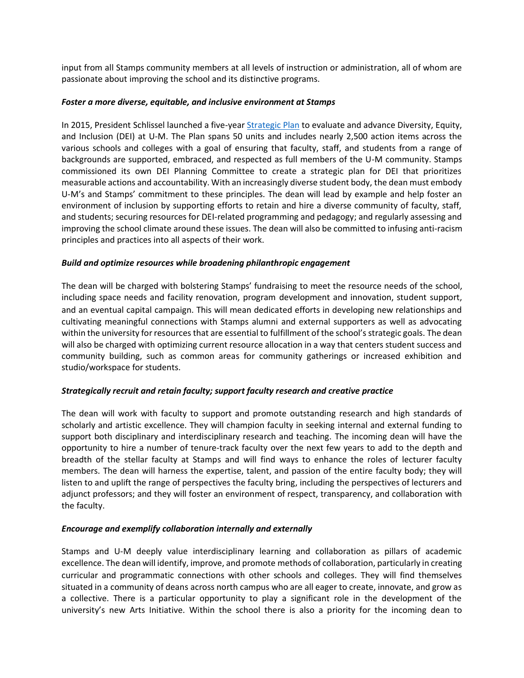input from all Stamps community members at all levels of instruction or administration, all of whom are passionate about improving the school and its distinctive programs.

#### *Foster a more diverse, equitable, and inclusive environment at Stamps*

In 2015, President Schlissel launched a five-year [Strategic Plan](https://diversity.umich.edu/strategic-plan/) to evaluate and advance Diversity, Equity, and Inclusion (DEI) at U-M. The Plan spans 50 units and includes nearly 2,500 action items across the various schools and colleges with a goal of ensuring that faculty, staff, and students from a range of backgrounds are supported, embraced, and respected as full members of the U-M community. Stamps commissioned its own DEI Planning Committee to create a strategic plan for DEI that prioritizes measurable actions and accountability. With an increasingly diverse student body, the dean must embody U-M's and Stamps' commitment to these principles. The dean will lead by example and help foster an environment of inclusion by supporting efforts to retain and hire a diverse community of faculty, staff, and students; securing resources for DEI-related programming and pedagogy; and regularly assessing and improving the school climate around these issues. The dean will also be committed to infusing anti-racism principles and practices into all aspects of their work.

#### *Build and optimize resources while broadening philanthropic engagement*

The dean will be charged with bolstering Stamps' fundraising to meet the resource needs of the school, including space needs and facility renovation, program development and innovation, student support, and an eventual capital campaign. This will mean dedicated efforts in developing new relationships and cultivating meaningful connections with Stamps alumni and external supporters as well as advocating within the university for resources that are essential to fulfillment of the school's strategic goals. The dean will also be charged with optimizing current resource allocation in a way that centers student success and community building, such as common areas for community gatherings or increased exhibition and studio/workspace for students.

## *Strategically recruit and retain faculty; support faculty research and creative practice*

The dean will work with faculty to support and promote outstanding research and high standards of scholarly and artistic excellence. They will champion faculty in seeking internal and external funding to support both disciplinary and interdisciplinary research and teaching. The incoming dean will have the opportunity to hire a number of tenure-track faculty over the next few years to add to the depth and breadth of the stellar faculty at Stamps and will find ways to enhance the roles of lecturer faculty members. The dean will harness the expertise, talent, and passion of the entire faculty body; they will listen to and uplift the range of perspectives the faculty bring, including the perspectives of lecturers and adjunct professors; and they will foster an environment of respect, transparency, and collaboration with the faculty.

## *Encourage and exemplify collaboration internally and externally*

Stamps and U-M deeply value interdisciplinary learning and collaboration as pillars of academic excellence. The dean will identify, improve, and promote methods of collaboration, particularly in creating curricular and programmatic connections with other schools and colleges. They will find themselves situated in a community of deans across north campus who are all eager to create, innovate, and grow as a collective. There is a particular opportunity to play a significant role in the development of the university's new Arts Initiative. Within the school there is also a priority for the incoming dean to